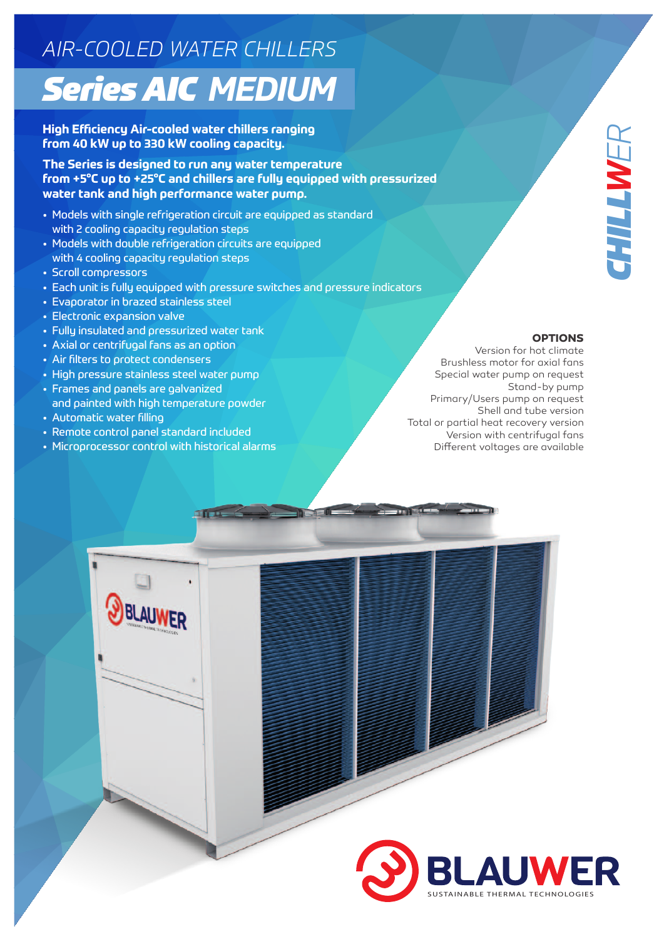## *AIR-COOLED WATER CHILLERS Series AIC MEDIUM*

**High Efficiency Air-cooled water chillers ranging from 40 kW up to 330 kW cooling capacity.**

**The Series is designed to run any water temperature from +5°C up to +25°C and chillers are fully equipped with pressurized water tank and high performance water pump.**

- Models with single refrigeration circuit are equipped as standard with 2 cooling capacity regulation steps
- Models with double refrigeration circuits are equipped with 4 cooling capacity regulation steps
- • Scroll compressors
- Each unit is fully equipped with pressure switches and pressure indicators
- • Evaporator in brazed stainless steel
- • Electronic expansion valve
- Fully insulated and pressurized water tank
- Axial or centrifugal fans as an option
- Air filters to protect condensers
- High pressure stainless steel water pump
- Frames and panels are galvanized and painted with high temperature powder
- • Automatic water filling
- • Remote control panel standard included
- Microprocessor control with historical alarms

## **OPTIONS**

Version for hot climate Brushless motor for axial fans Special water pump on request Stand-by pump Primary/Users pump on request Shell and tube version Total or partial heat recovery version Version with centrifugal fans Different voltages are available